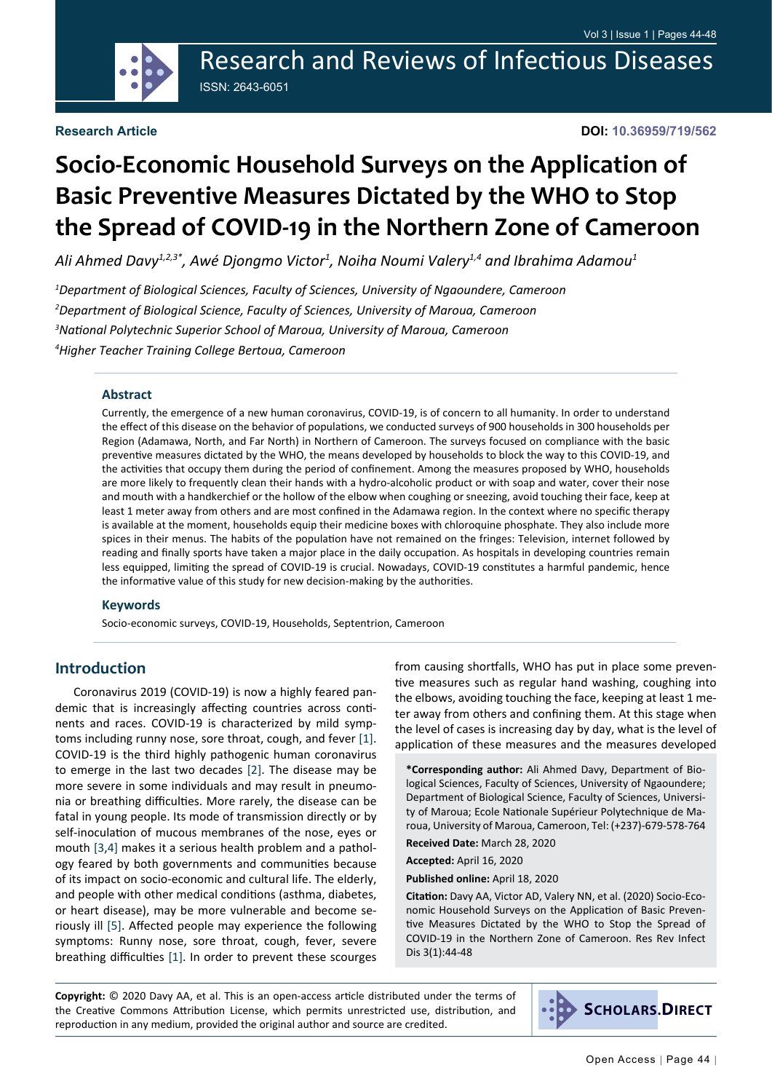Research and Reviews of Infectious Diseases ISSN: 2643-6051

#### **Research Article**

**DOI: 10.36959/719/562**

# **Socio-Economic Household Surveys on the Application of Basic Preventive Measures Dictated by the WHO to Stop the Spread of COVID-19 in the Northern Zone of Cameroon**

Ali Ahmed Davy<sup>1,2,3\*</sup>, Awé Djongmo Victor<sup>1</sup>, Noiha Noumi Valery<sup>1,4</sup> and Ibrahima Adamou<sup>1</sup>

 *Department of Biological Sciences, Faculty of Sciences, University of Ngaoundere, Cameroon Department of Biological Science, Faculty of Sciences, University of Maroua, Cameroon National Polytechnic Superior School of Maroua, University of Maroua, Cameroon Higher Teacher Training College Bertoua, Cameroon*

#### **Abstract**

Currently, the emergence of a new human coronavirus, COVID-19, is of concern to all humanity. In order to understand the effect of this disease on the behavior of populations, we conducted surveys of 900 households in 300 households per Region (Adamawa, North, and Far North) in Northern of Cameroon. The surveys focused on compliance with the basic preventive measures dictated by the WHO, the means developed by households to block the way to this COVID-19, and the activities that occupy them during the period of confinement. Among the measures proposed by WHO, households are more likely to frequently clean their hands with a hydro-alcoholic product or with soap and water, cover their nose and mouth with a handkerchief or the hollow of the elbow when coughing or sneezing, avoid touching their face, keep at least 1 meter away from others and are most confined in the Adamawa region. In the context where no specific therapy is available at the moment, households equip their medicine boxes with chloroquine phosphate. They also include more spices in their menus. The habits of the population have not remained on the fringes: Television, internet followed by reading and finally sports have taken a major place in the daily occupation. As hospitals in developing countries remain less equipped, limiting the spread of COVID-19 is crucial. Nowadays, COVID-19 constitutes a harmful pandemic, hence the informative value of this study for new decision-making by the authorities.

#### **Keywords**

Socio-economic surveys, COVID-19, Households, Septentrion, Cameroon

#### **Introduction**

Coronavirus 2019 (COVID-19) is now a highly feared pandemic that is increasingly affecting countries across continents and races. COVID-19 is characterized by mild symptoms including runny nose, sore throat, cough, and fever [[1\]](#page-4-0). COVID-19 is the third highly pathogenic human coronavirus to emerge in the last two decades [[2\]](#page-4-1). The disease may be more severe in some individuals and may result in pneumonia or breathing difficulties. More rarely, the disease can be fatal in young people. Its mode of transmission directly or by self-inoculation of mucous membranes of the nose, eyes or mouth [\[3](#page-4-2),[4](#page-4-3)] makes it a serious health problem and a pathology feared by both governments and communities because of its impact on socio-economic and cultural life. The elderly, and people with other medical conditions (asthma, diabetes, or heart disease), may be more vulnerable and become seriously ill [[5\]](#page-4-4). Affected people may experience the following symptoms: Runny nose, sore throat, cough, fever, severe breathing difficulties [[1\]](#page-4-0). In order to prevent these scourges

from causing shortfalls, WHO has put in place some preventive measures such as regular hand washing, coughing into the elbows, avoiding touching the face, keeping at least 1 meter away from others and confining them. At this stage when the level of cases is increasing day by day, what is the level of application of these measures and the measures developed

**\*Corresponding author:** Ali Ahmed Davy, Department of Biological Sciences, Faculty of Sciences, University of Ngaoundere; Department of Biological Science, Faculty of Sciences, University of Maroua; Ecole Nationale Supérieur Polytechnique de Maroua, University of Maroua, Cameroon, Tel: (+237)-679-578-764

**Received Date:** March 28, 2020

**Accepted:** April 16, 2020

**Published online:** April 18, 2020

**Citation:** Davy AA, Victor AD, Valery NN, et al. (2020) Socio-Economic Household Surveys on the Application of Basic Preventive Measures Dictated by the WHO to Stop the Spread of COVID-19 in the Northern Zone of Cameroon. Res Rev Infect Dis 3(1):44-48

**Copyright:** © 2020 Davy AA, et al. This is an open-access article distributed under the terms of the Creative Commons Attribution License, which permits unrestricted use, distribution, and reproduction in any medium, provided the original author and source are credited.

**SCHOLARS.DIRECT**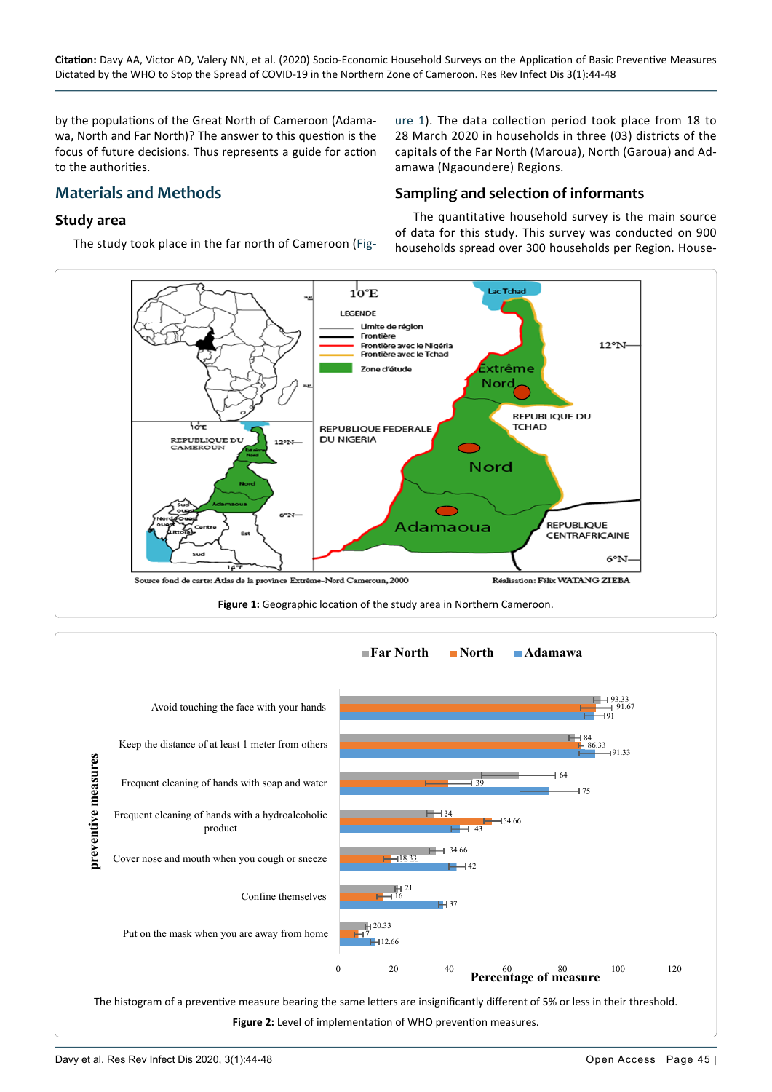by the populations of the Great North of Cameroon (Adamawa, North and Far North)? The answer to this question is the focus of future decisions. Thus represents a guide for action to the authorities.

# **Materials and Methods**

#### **Study area**

The study took place in the far north of Cameroon [\(Fig](#page-1-0)-

[ure 1\)](#page-1-0). The data collection period took place from 18 to 28 March 2020 in households in three (03) districts of the capitals of the Far North (Maroua), North (Garoua) and Adamawa (Ngaoundere) Regions.

#### **Sampling and selection of informants**

The quantitative household survey is the main source of data for this study. This survey was conducted on 900 households spread over 300 households per Region. House-

<span id="page-1-0"></span>

<span id="page-1-1"></span>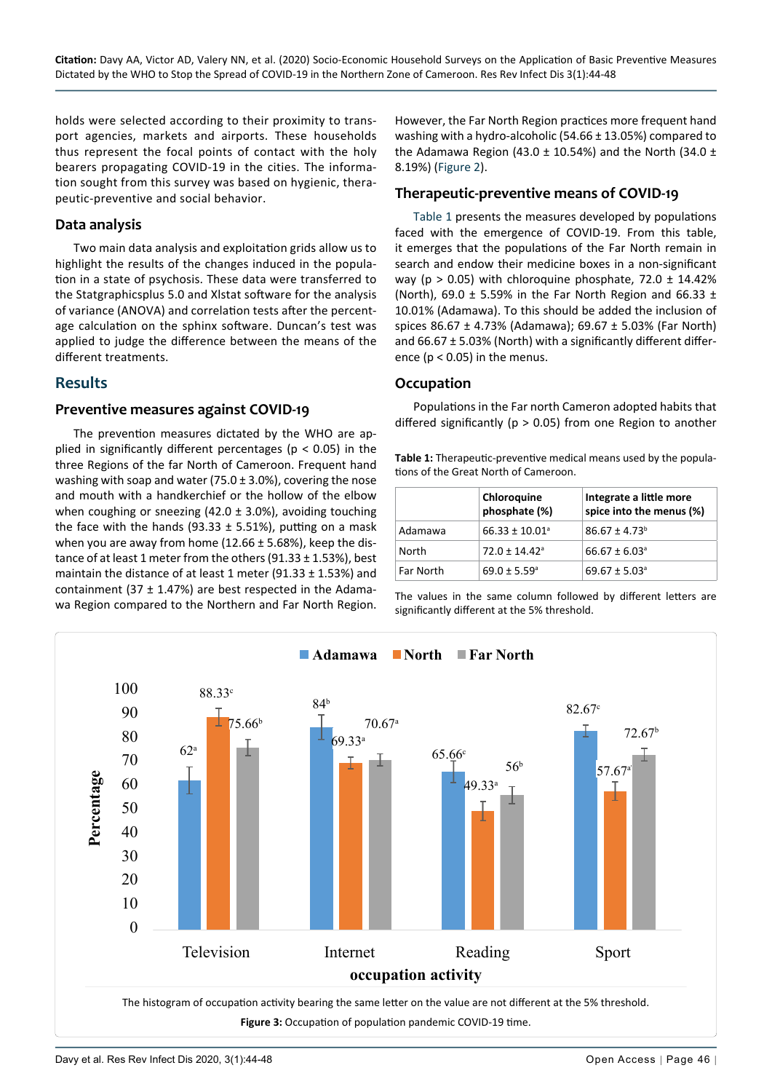holds were selected according to their proximity to transport agencies, markets and airports. These households thus represent the focal points of contact with the holy bearers propagating COVID-19 in the cities. The information sought from this survey was based on hygienic, therapeutic-preventive and social behavior.

#### **Data analysis**

Two main data analysis and exploitation grids allow us to highlight the results of the changes induced in the population in a state of psychosis. These data were transferred to the Statgraphicsplus 5.0 and Xlstat software for the analysis of variance (ANOVA) and correlation tests after the percentage calculation on the sphinx software. Duncan's test was applied to judge the difference between the means of the different treatments.

### **Results**

#### **Preventive measures against COVID-19**

The prevention measures dictated by the WHO are applied in significantly different percentages ( $p < 0.05$ ) in the three Regions of the far North of Cameroon. Frequent hand washing with soap and water (75.0 ± 3.0%), covering the nose and mouth with a handkerchief or the hollow of the elbow when coughing or sneezing (42.0  $\pm$  3.0%), avoiding touching the face with the hands (93.33  $\pm$  5.51%), putting on a mask when you are away from home ( $12.66 \pm 5.68$ %), keep the distance of at least 1 meter from the others (91.33 ± 1.53%), best maintain the distance of at least 1 meter (91.33 ± 1.53%) and containment (37  $\pm$  1.47%) are best respected in the Adamawa Region compared to the Northern and Far North Region.

However, the Far North Region practices more frequent hand washing with a hydro-alcoholic (54.66 ± 13.05%) compared to the Adamawa Region (43.0  $\pm$  10.54%) and the North (34.0  $\pm$ 8.19%) ([Figure 2\)](#page-1-1).

#### **Therapeutic-preventive means of COVID-19**

[Table 1](#page-2-0) presents the measures developed by populations faced with the emergence of COVID-19. From this table, it emerges that the populations of the Far North remain in search and endow their medicine boxes in a non-significant way ( $p > 0.05$ ) with chloroquine phosphate, 72.0  $\pm$  14.42% (North), 69.0  $\pm$  5.59% in the Far North Region and 66.33  $\pm$ 10.01% (Adamawa). To this should be added the inclusion of spices 86.67 ± 4.73% (Adamawa); 69.67 ± 5.03% (Far North) and  $66.67 \pm 5.03\%$  (North) with a significantly different difference ( $p < 0.05$ ) in the menus.

#### **Occupation**

Populations in the Far north Cameron adopted habits that differed significantly ( $p > 0.05$ ) from one Region to another

<span id="page-2-0"></span>

| <b>Table 1:</b> Therapeutic-preventive medical means used by the popula- |
|--------------------------------------------------------------------------|
| tions of the Great North of Cameroon.                                    |

|           | Chloroquine<br>phosphate (%)   | Integrate a little more<br>spice into the menus (%) |
|-----------|--------------------------------|-----------------------------------------------------|
| Adamawa   | $66.33 \pm 10.01$ <sup>a</sup> | $86.67 \pm 4.73$ <sup>b</sup>                       |
| North     | $72.0 \pm 14.42$ <sup>a</sup>  | $66.67 \pm 6.03$ <sup>a</sup>                       |
| Far North | $69.0 \pm 5.59^{\circ}$        | $69.67 \pm 5.03$ <sup>a</sup>                       |

The values in the same column followed by different letters are significantly different at the 5% threshold.

<span id="page-2-1"></span>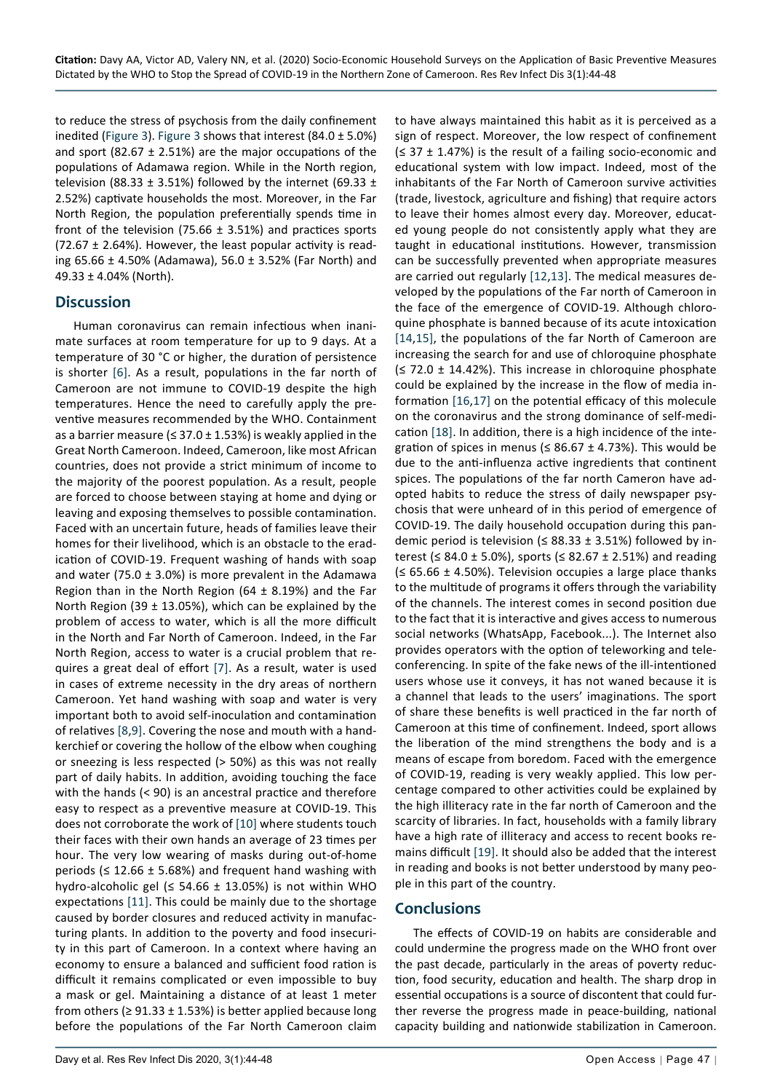to reduce the stress of psychosis from the daily confinement inedited [\(Figure 3](#page-2-1)). [Figure 3](#page-2-1) shows that interest  $(84.0 \pm 5.0\%)$ and sport (82.67  $\pm$  2.51%) are the major occupations of the populations of Adamawa region. While in the North region, television (88.33  $\pm$  3.51%) followed by the internet (69.33  $\pm$ 2.52%) captivate households the most. Moreover, in the Far North Region, the population preferentially spends time in front of the television (75.66  $\pm$  3.51%) and practices sports (72.67  $\pm$  2.64%). However, the least popular activity is reading 65.66 ± 4.50% (Adamawa), 56.0 ± 3.52% (Far North) and 49.33 ± 4.04% (North).

### **Discussion**

Human coronavirus can remain infectious when inanimate surfaces at room temperature for up to 9 days. At a temperature of 30 °C or higher, the duration of persistence is shorter [\[6](#page-4-13)]. As a result, populations in the far north of Cameroon are not immune to COVID-19 despite the high temperatures. Hence the need to carefully apply the preventive measures recommended by the WHO. Containment as a barrier measure ( $\leq$  37.0  $\pm$  1.53%) is weakly applied in the Great North Cameroon. Indeed, Cameroon, like most African countries, does not provide a strict minimum of income to the majority of the poorest population. As a result, people are forced to choose between staying at home and dying or leaving and exposing themselves to possible contamination. Faced with an uncertain future, heads of families leave their homes for their livelihood, which is an obstacle to the eradication of COVID-19. Frequent washing of hands with soap and water (75.0  $\pm$  3.0%) is more prevalent in the Adamawa Region than in the North Region (64  $\pm$  8.19%) and the Far North Region (39  $\pm$  13.05%), which can be explained by the problem of access to water, which is all the more difficult in the North and Far North of Cameroon. Indeed, in the Far North Region, access to water is a crucial problem that requires a great deal of effort [[7](#page-4-14)]. As a result, water is used in cases of extreme necessity in the dry areas of northern Cameroon. Yet hand washing with soap and water is very important both to avoid self-inoculation and contamination of relatives [[8](#page-4-15),[9\]](#page-4-16). Covering the nose and mouth with a handkerchief or covering the hollow of the elbow when coughing or sneezing is less respected (> 50%) as this was not really part of daily habits. In addition, avoiding touching the face with the hands (< 90) is an ancestral practice and therefore easy to respect as a preventive measure at COVID-19. This does not corroborate the work of [[10](#page-4-17)] where students touch their faces with their own hands an average of 23 times per hour. The very low wearing of masks during out-of-home periods ( $\leq$  12.66 ± 5.68%) and frequent hand washing with hydro-alcoholic gel ( $\leq$  54.66  $\pm$  13.05%) is not within WHO expectations [\[11\]](#page-4-18). This could be mainly due to the shortage caused by border closures and reduced activity in manufacturing plants. In addition to the poverty and food insecurity in this part of Cameroon. In a context where having an economy to ensure a balanced and sufficient food ration is difficult it remains complicated or even impossible to buy a mask or gel. Maintaining a distance of at least 1 meter from others ( $\geq$  91.33  $\pm$  1.53%) is better applied because long before the populations of the Far North Cameroon claim to have always maintained this habit as it is perceived as a sign of respect. Moreover, the low respect of confinement  $($  ≤ 37  $\pm$  1.47%) is the result of a failing socio-economic and educational system with low impact. Indeed, most of the inhabitants of the Far North of Cameroon survive activities (trade, livestock, agriculture and fishing) that require actors to leave their homes almost every day. Moreover, educated young people do not consistently apply what they are taught in educational institutions. However, transmission can be successfully prevented when appropriate measures are carried out regularly [[12](#page-4-5),[13](#page-4-6)]. The medical measures developed by the populations of the Far north of Cameroon in the face of the emergence of COVID-19. Although chloroquine phosphate is banned because of its acute intoxication [[14](#page-4-7),[15](#page-4-8)], the populations of the far North of Cameroon are increasing the search for and use of chloroquine phosphate  $($  ≤ 72.0  $\pm$  14.42%). This increase in chloroquine phosphate could be explained by the increase in the flow of media information [[16](#page-4-9),[17](#page-4-10)] on the potential efficacy of this molecule on the coronavirus and the strong dominance of self-medication [[18](#page-4-11)]. In addition, there is a high incidence of the integration of spices in menus ( $\leq$  86.67 ± 4.73%). This would be due to the anti-influenza active ingredients that continent spices. The populations of the far north Cameron have adopted habits to reduce the stress of daily newspaper psychosis that were unheard of in this period of emergence of COVID-19. The daily household occupation during this pandemic period is television ( $\leq$  88.33  $\pm$  3.51%) followed by interest (≤ 84.0 ± 5.0%), sports (≤ 82.67 ± 2.51%) and reading (≤ 65.66 ± 4.50%). Television occupies a large place thanks to the multitude of programs it offers through the variability of the channels. The interest comes in second position due to the fact that it is interactive and gives access to numerous social networks (WhatsApp, Facebook...). The Internet also provides operators with the option of teleworking and teleconferencing. In spite of the fake news of the ill-intentioned users whose use it conveys, it has not waned because it is a channel that leads to the users' imaginations. The sport of share these benefits is well practiced in the far north of Cameroon at this time of confinement. Indeed, sport allows the liberation of the mind strengthens the body and is a means of escape from boredom. Faced with the emergence of COVID-19, reading is very weakly applied. This low percentage compared to other activities could be explained by the high illiteracy rate in the far north of Cameroon and the scarcity of libraries. In fact, households with a family library have a high rate of illiteracy and access to recent books remains difficult [[19\]](#page-4-12). It should also be added that the interest in reading and books is not better understood by many people in this part of the country.

# **Conclusions**

The effects of COVID-19 on habits are considerable and could undermine the progress made on the WHO front over the past decade, particularly in the areas of poverty reduction, food security, education and health. The sharp drop in essential occupations is a source of discontent that could further reverse the progress made in peace-building, national capacity building and nationwide stabilization in Cameroon.